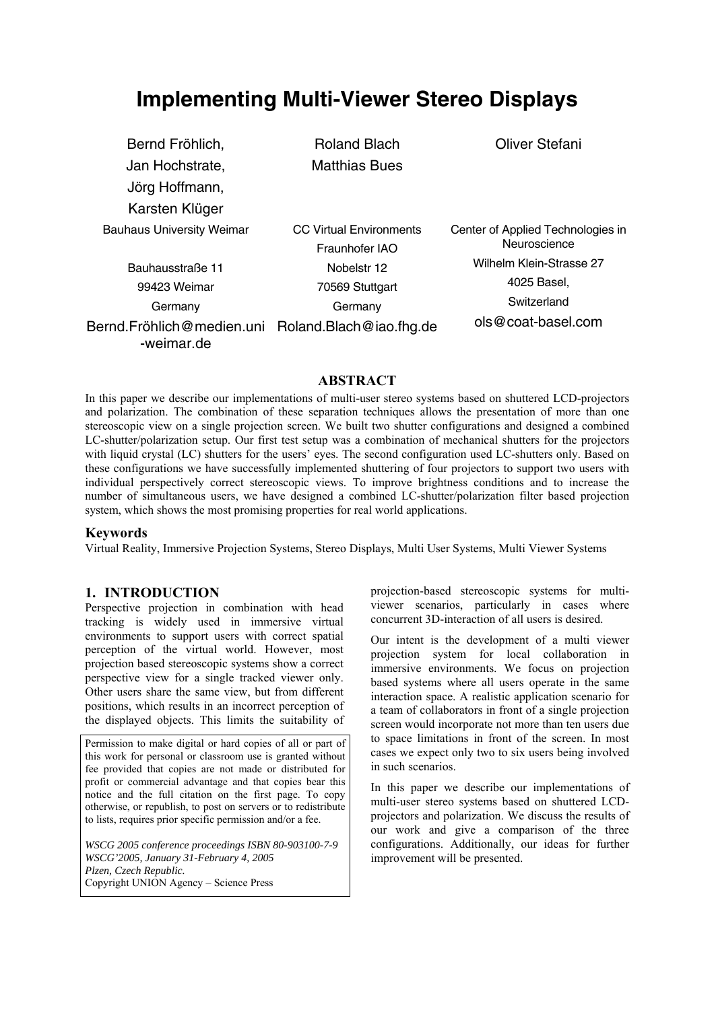# **Implementing Multi-Viewer Stereo Displays**

| Bernd Fröhlich,                                                 | <b>Roland Blach</b>            | <b>Oliver Stefani</b>             |
|-----------------------------------------------------------------|--------------------------------|-----------------------------------|
| Jan Hochstrate,                                                 | <b>Matthias Bues</b>           |                                   |
| Jörg Hoffmann,                                                  |                                |                                   |
| Karsten Klüger                                                  |                                |                                   |
| <b>Bauhaus University Weimar</b>                                | <b>CC Virtual Environments</b> | Center of Applied Technologies in |
|                                                                 | Fraunhofer IAO                 | Neuroscience                      |
| Bauhausstraße 11                                                | Nobelstr 12                    | Wilhelm Klein-Strasse 27          |
| 99423 Weimar                                                    | 70569 Stuttgart                | 4025 Basel,                       |
| Germany                                                         | Germany                        | Switzerland                       |
| Bernd.Fröhlich@medien.uni Roland.Blach@iao.fhg.de<br>-weimar.de |                                | ols@coat-basel.com                |

**ABSTRACT**

In this paper we describe our implementations of multi-user stereo systems based on shuttered LCD-projectors and polarization. The combination of these separation techniques allows the presentation of more than one stereoscopic view on a single projection screen. We built two shutter configurations and designed a combined LC-shutter/polarization setup. Our first test setup was a combination of mechanical shutters for the projectors with liquid crystal (LC) shutters for the users' eyes. The second configuration used LC-shutters only. Based on these configurations we have successfully implemented shuttering of four projectors to support two users with individual perspectively correct stereoscopic views. To improve brightness conditions and to increase the number of simultaneous users, we have designed a combined LC-shutter/polarization filter based projection system, which shows the most promising properties for real world applications.

## **Keywords**

Virtual Reality, Immersive Projection Systems, Stereo Displays, Multi User Systems, Multi Viewer Systems

## **1. INTRODUCTION**

Perspective projection in combination with head tracking is widely used in immersive virtual environments to support users with correct spatial perception of the virtual world. However, most projection based stereoscopic systems show a correct perspective view for a single tracked viewer only. Other users share the same view, but from different positions, which results in an incorrect perception of the displayed objects. This limits the suitability of

Permission to make digital or hard copies of all or part of this work for personal or classroom use is granted without fee provided that copies are not made or distributed for profit or commercial advantage and that copies bear this notice and the full citation on the first page. To copy otherwise, or republish, to post on servers or to redistribute to lists, requires prior specific permission and/or a fee.

*WSCG 2005 conference proceedings ISBN 80-903100-7-9 WSCG'2005, January 31-February 4, 2005 Plzen, Czech Republic.*  Copyright UNION Agency – Science Press

projection-based stereoscopic systems for multiviewer scenarios, particularly in cases where concurrent 3D-interaction of all users is desired.

Our intent is the development of a multi viewer projection system for local collaboration in immersive environments. We focus on projection based systems where all users operate in the same interaction space. A realistic application scenario for a team of collaborators in front of a single projection screen would incorporate not more than ten users due to space limitations in front of the screen. In most cases we expect only two to six users being involved in such scenarios.

In this paper we describe our implementations of multi-user stereo systems based on shuttered LCDprojectors and polarization. We discuss the results of our work and give a comparison of the three configurations. Additionally, our ideas for further improvement will be presented.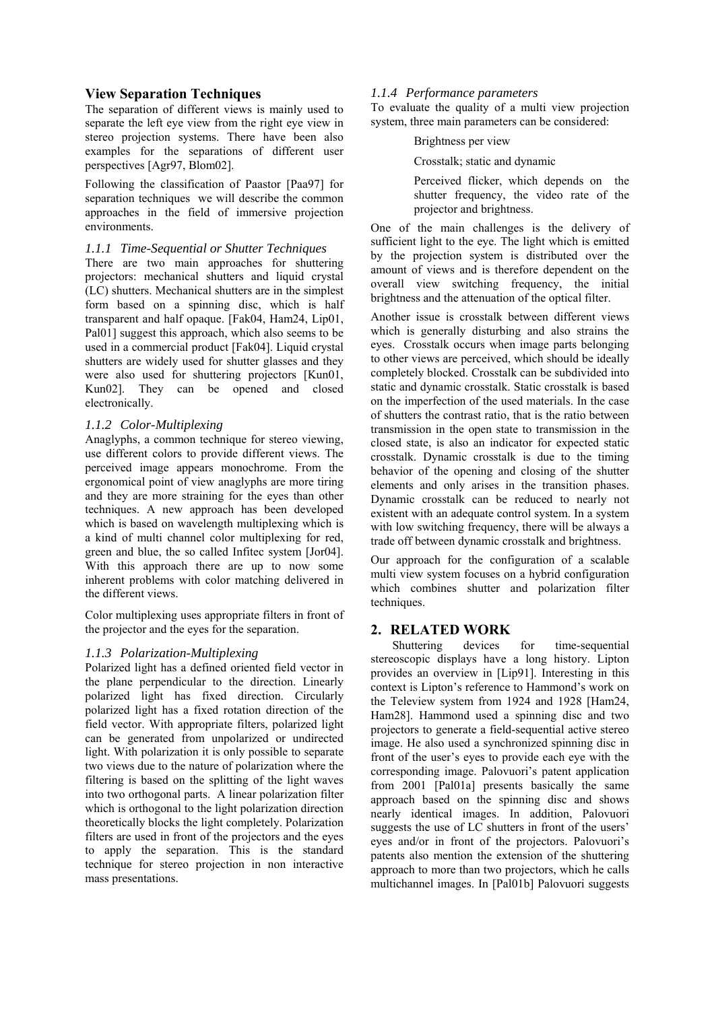## **View Separation Techniques**

The separation of different views is mainly used to separate the left eye view from the right eye view in stereo projection systems. There have been also examples for the separations of different user perspectives [Agr97, Blom02].

Following the classification of Paastor [Paa97] for separation techniques we will describe the common approaches in the field of immersive projection environments.

## *1.1.1 Time-Sequential or Shutter Techniques*

There are two main approaches for shuttering projectors: mechanical shutters and liquid crystal (LC) shutters. Mechanical shutters are in the simplest form based on a spinning disc, which is half transparent and half opaque. [Fak04, Ham24, Lip01, Pal01] suggest this approach, which also seems to be used in a commercial product [Fak04]. Liquid crystal shutters are widely used for shutter glasses and they were also used for shuttering projectors [Kun01, Kun02]. They can be opened and closed electronically.

## *1.1.2 Color-Multiplexing*

Anaglyphs, a common technique for stereo viewing, use different colors to provide different views. The perceived image appears monochrome. From the ergonomical point of view anaglyphs are more tiring and they are more straining for the eyes than other techniques. A new approach has been developed which is based on wavelength multiplexing which is a kind of multi channel color multiplexing for red, green and blue, the so called Infitec system [Jor04]. With this approach there are up to now some inherent problems with color matching delivered in the different views.

Color multiplexing uses appropriate filters in front of the projector and the eyes for the separation.

## *1.1.3 Polarization-Multiplexing*

Polarized light has a defined oriented field vector in the plane perpendicular to the direction. Linearly polarized light has fixed direction. Circularly polarized light has a fixed rotation direction of the field vector. With appropriate filters, polarized light can be generated from unpolarized or undirected light. With polarization it is only possible to separate two views due to the nature of polarization where the filtering is based on the splitting of the light waves into two orthogonal parts. A linear polarization filter which is orthogonal to the light polarization direction theoretically blocks the light completely. Polarization filters are used in front of the projectors and the eyes to apply the separation. This is the standard technique for stereo projection in non interactive mass presentations.

## *1.1.4 Performance parameters*

To evaluate the quality of a multi view projection system, three main parameters can be considered:

### Brightness per view

Crosstalk; static and dynamic

Perceived flicker, which depends on the shutter frequency, the video rate of the projector and brightness.

One of the main challenges is the delivery of sufficient light to the eye. The light which is emitted by the projection system is distributed over the amount of views and is therefore dependent on the overall view switching frequency, the initial brightness and the attenuation of the optical filter.

Another issue is crosstalk between different views which is generally disturbing and also strains the eyes. Crosstalk occurs when image parts belonging to other views are perceived, which should be ideally completely blocked. Crosstalk can be subdivided into static and dynamic crosstalk. Static crosstalk is based on the imperfection of the used materials. In the case of shutters the contrast ratio, that is the ratio between transmission in the open state to transmission in the closed state, is also an indicator for expected static crosstalk. Dynamic crosstalk is due to the timing behavior of the opening and closing of the shutter elements and only arises in the transition phases. Dynamic crosstalk can be reduced to nearly not existent with an adequate control system. In a system with low switching frequency, there will be always a trade off between dynamic crosstalk and brightness.

Our approach for the configuration of a scalable multi view system focuses on a hybrid configuration which combines shutter and polarization filter techniques.

## **2. RELATED WORK**

Shuttering devices for time-sequential stereoscopic displays have a long history. Lipton provides an overview in [Lip91]. Interesting in this context is Lipton's reference to Hammond's work on the Teleview system from 1924 and 1928 [Ham24, Ham28]. Hammond used a spinning disc and two projectors to generate a field-sequential active stereo image. He also used a synchronized spinning disc in front of the user's eyes to provide each eye with the corresponding image. Palovuori's patent application from 2001 [Pal01a] presents basically the same approach based on the spinning disc and shows nearly identical images. In addition, Palovuori suggests the use of LC shutters in front of the users' eyes and/or in front of the projectors. Palovuori's patents also mention the extension of the shuttering approach to more than two projectors, which he calls multichannel images. In [Pal01b] Palovuori suggests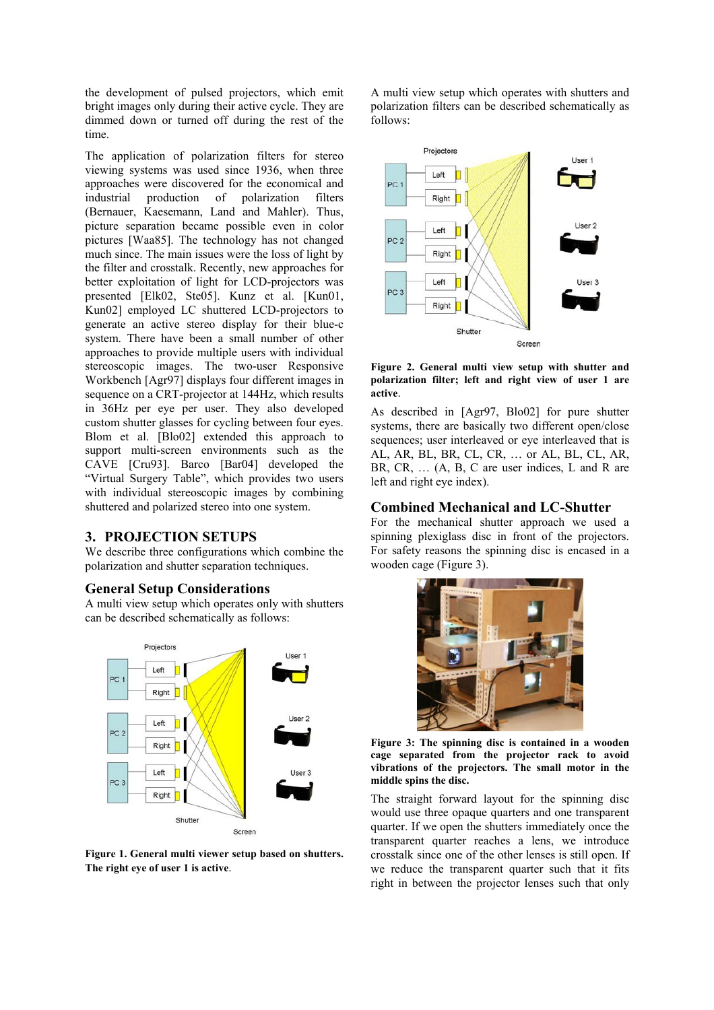the development of pulsed projectors, which emit bright images only during their active cycle. They are dimmed down or turned off during the rest of the time.

The application of polarization filters for stereo viewing systems was used since 1936, when three approaches were discovered for the economical and industrial production of polarization filters (Bernauer, Kaesemann, Land and Mahler). Thus, picture separation became possible even in color pictures [Waa85]. The technology has not changed much since. The main issues were the loss of light by the filter and crosstalk. Recently, new approaches for better exploitation of light for LCD-projectors was presented [Elk02, Ste05]. Kunz et al. [Kun01, Kun02] employed LC shuttered LCD-projectors to generate an active stereo display for their blue-c system. There have been a small number of other approaches to provide multiple users with individual stereoscopic images. The two-user Responsive Workbench [Agr97] displays four different images in sequence on a CRT-projector at 144Hz, which results in 36Hz per eye per user. They also developed custom shutter glasses for cycling between four eyes. Blom et al. [Blo02] extended this approach to support multi-screen environments such as the CAVE [Cru93]. Barco [Bar04] developed the "Virtual Surgery Table", which provides two users with individual stereoscopic images by combining shuttered and polarized stereo into one system.

## **3. PROJECTION SETUPS**

We describe three configurations which combine the polarization and shutter separation techniques.

## **General Setup Considerations**

A multi view setup which operates only with shutters can be described schematically as follows:



**Figure 1. General multi viewer setup based on shutters. The right eye of user 1 is active**.

A multi view setup which operates with shutters and polarization filters can be described schematically as follows:



**Figure 2. General multi view setup with shutter and polarization filter; left and right view of user 1 are active**.

As described in [Agr97, Blo02] for pure shutter systems, there are basically two different open/close sequences; user interleaved or eye interleaved that is AL, AR, BL, BR, CL, CR, … or AL, BL, CL, AR, BR, CR, ... (A, B, C are user indices, L and R are left and right eye index).

## **Combined Mechanical and LC-Shutter**

For the mechanical shutter approach we used a spinning plexiglass disc in front of the projectors. For safety reasons the spinning disc is encased in a wooden cage (Figure 3).



**Figure 3: The spinning disc is contained in a wooden cage separated from the projector rack to avoid vibrations of the projectors. The small motor in the middle spins the disc.**

The straight forward layout for the spinning disc would use three opaque quarters and one transparent quarter. If we open the shutters immediately once the transparent quarter reaches a lens, we introduce crosstalk since one of the other lenses is still open. If we reduce the transparent quarter such that it fits right in between the projector lenses such that only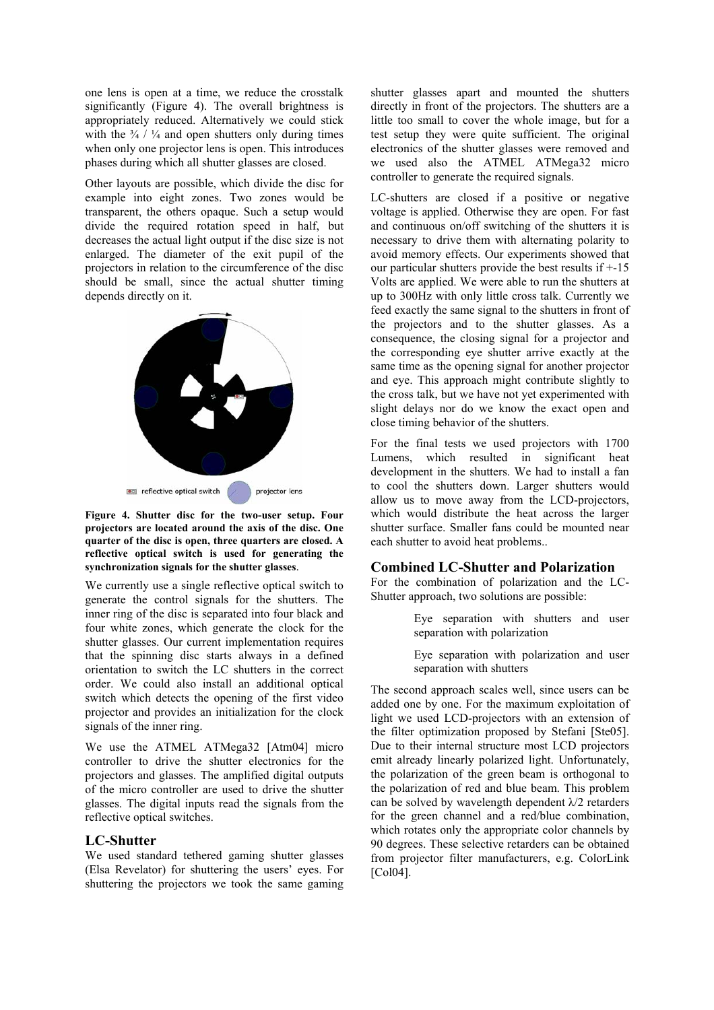one lens is open at a time, we reduce the crosstalk significantly (Figure 4). The overall brightness is appropriately reduced. Alternatively we could stick with the  $\frac{3}{4}$  /  $\frac{1}{4}$  and open shutters only during times when only one projector lens is open. This introduces phases during which all shutter glasses are closed.

Other layouts are possible, which divide the disc for example into eight zones. Two zones would be transparent, the others opaque. Such a setup would divide the required rotation speed in half, but decreases the actual light output if the disc size is not enlarged. The diameter of the exit pupil of the projectors in relation to the circumference of the disc should be small, since the actual shutter timing depends directly on it.



**Figure 4. Shutter disc for the two-user setup. Four projectors are located around the axis of the disc. One quarter of the disc is open, three quarters are closed. A reflective optical switch is used for generating the synchronization signals for the shutter glasses**.

We currently use a single reflective optical switch to generate the control signals for the shutters. The inner ring of the disc is separated into four black and four white zones, which generate the clock for the shutter glasses. Our current implementation requires that the spinning disc starts always in a defined orientation to switch the LC shutters in the correct order. We could also install an additional optical switch which detects the opening of the first video projector and provides an initialization for the clock signals of the inner ring.

We use the ATMEL ATMega32 [Atm04] micro controller to drive the shutter electronics for the projectors and glasses. The amplified digital outputs of the micro controller are used to drive the shutter glasses. The digital inputs read the signals from the reflective optical switches.

#### **LC-Shutter**

We used standard tethered gaming shutter glasses (Elsa Revelator) for shuttering the users' eyes. For shuttering the projectors we took the same gaming

shutter glasses apart and mounted the shutters directly in front of the projectors. The shutters are a little too small to cover the whole image, but for a test setup they were quite sufficient. The original electronics of the shutter glasses were removed and we used also the ATMEL ATMega32 micro controller to generate the required signals.

LC-shutters are closed if a positive or negative voltage is applied. Otherwise they are open. For fast and continuous on/off switching of the shutters it is necessary to drive them with alternating polarity to avoid memory effects. Our experiments showed that our particular shutters provide the best results if +-15 Volts are applied. We were able to run the shutters at up to 300Hz with only little cross talk. Currently we feed exactly the same signal to the shutters in front of the projectors and to the shutter glasses. As a consequence, the closing signal for a projector and the corresponding eye shutter arrive exactly at the same time as the opening signal for another projector and eye. This approach might contribute slightly to the cross talk, but we have not yet experimented with slight delays nor do we know the exact open and close timing behavior of the shutters.

For the final tests we used projectors with 1700 Lumens, which resulted in significant heat development in the shutters. We had to install a fan to cool the shutters down. Larger shutters would allow us to move away from the LCD-projectors, which would distribute the heat across the larger shutter surface. Smaller fans could be mounted near each shutter to avoid heat problems..

#### **Combined LC-Shutter and Polarization**

For the combination of polarization and the LC-Shutter approach, two solutions are possible:

> Eye separation with shutters and user separation with polarization

> Eye separation with polarization and user separation with shutters

The second approach scales well, since users can be added one by one. For the maximum exploitation of light we used LCD-projectors with an extension of the filter optimization proposed by Stefani [Ste05]. Due to their internal structure most LCD projectors emit already linearly polarized light. Unfortunately, the polarization of the green beam is orthogonal to the polarization of red and blue beam. This problem can be solved by wavelength dependent  $\lambda/2$  retarders for the green channel and a red/blue combination, which rotates only the appropriate color channels by 90 degrees. These selective retarders can be obtained from projector filter manufacturers, e.g. ColorLink [Col04].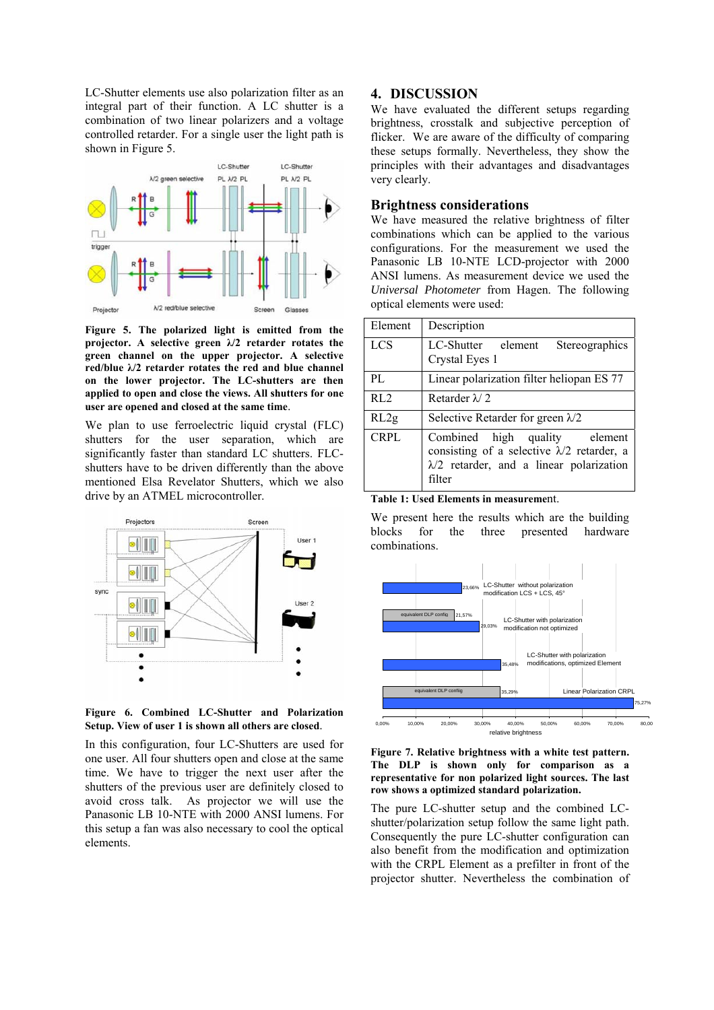LC-Shutter elements use also polarization filter as an integral part of their function. A LC shutter is a combination of two linear polarizers and a voltage controlled retarder. For a single user the light path is shown in Figure 5.



**Figure 5. The polarized light is emitted from the projector. A selective green λ/2 retarder rotates the green channel on the upper projector. A selective red/blue λ/2 retarder rotates the red and blue channel on the lower projector. The LC-shutters are then applied to open and close the views. All shutters for one user are opened and closed at the same time**.

We plan to use ferroelectric liquid crystal (FLC) shutters for the user separation, which are significantly faster than standard LC shutters. FLCshutters have to be driven differently than the above mentioned Elsa Revelator Shutters, which we also drive by an ATMEL microcontroller.



**Figure 6. Combined LC-Shutter and Polarization Setup. View of user 1 is shown all others are closed**.

In this configuration, four LC-Shutters are used for one user. All four shutters open and close at the same time. We have to trigger the next user after the shutters of the previous user are definitely closed to avoid cross talk. As projector we will use the Panasonic LB 10-NTE with 2000 ANSI lumens. For this setup a fan was also necessary to cool the optical elements.

## **4. DISCUSSION**

We have evaluated the different setups regarding brightness, crosstalk and subjective perception of flicker. We are aware of the difficulty of comparing these setups formally. Nevertheless, they show the principles with their advantages and disadvantages very clearly.

## **Brightness considerations**

We have measured the relative brightness of filter combinations which can be applied to the various configurations. For the measurement we used the Panasonic LB 10-NTE LCD-projector with 2000 ANSI lumens. As measurement device we used the *Universal Photometer* from Hagen. The following optical elements were used:

| Element          | Description                                                                                                                                     |  |  |  |
|------------------|-------------------------------------------------------------------------------------------------------------------------------------------------|--|--|--|
| <b>LCS</b>       | LC-Shutter element<br>Stereographics<br>Crystal Eyes 1                                                                                          |  |  |  |
| PL               | Linear polarization filter heliopan ES 77                                                                                                       |  |  |  |
| R <sub>L</sub> 2 | Retarder $\lambda$ 2                                                                                                                            |  |  |  |
| RL2g             | Selective Retarder for green $\lambda/2$                                                                                                        |  |  |  |
| <b>CRPL</b>      | Combined high quality element<br>consisting of a selective $\lambda/2$ retarder, a<br>$\lambda/2$ retarder, and a linear polarization<br>filter |  |  |  |

**Table 1: Used Elements in measureme**nt.

We present here the results which are the building blocks for the three presented hardware combinations.



**Figure 7. Relative brightness with a white test pattern. The DLP is shown only for comparison as a representative for non polarized light sources. The last row shows a optimized standard polarization.**

The pure LC-shutter setup and the combined LCshutter/polarization setup follow the same light path. Consequently the pure LC-shutter configuration can also benefit from the modification and optimization with the CRPL Element as a prefilter in front of the projector shutter. Nevertheless the combination of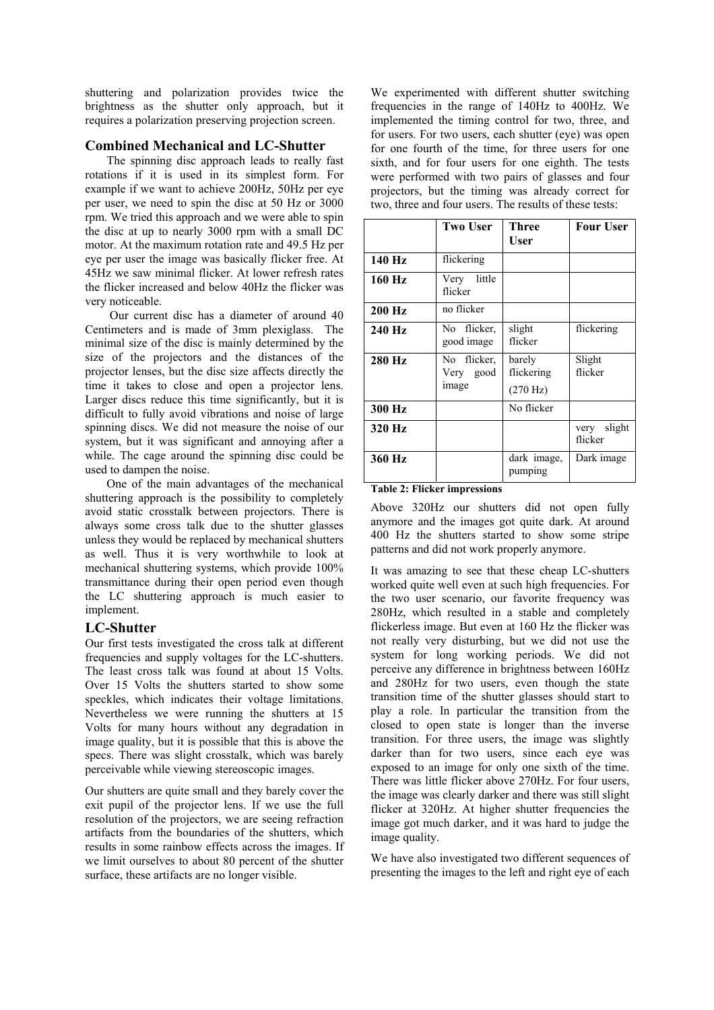shuttering and polarization provides twice the brightness as the shutter only approach, but it requires a polarization preserving projection screen.

#### **Combined Mechanical and LC-Shutter**

The spinning disc approach leads to really fast rotations if it is used in its simplest form. For example if we want to achieve 200Hz, 50Hz per eye per user, we need to spin the disc at 50 Hz or 3000 rpm. We tried this approach and we were able to spin the disc at up to nearly 3000 rpm with a small DC motor. At the maximum rotation rate and 49.5 Hz per eye per user the image was basically flicker free. At 45Hz we saw minimal flicker. At lower refresh rates the flicker increased and below 40Hz the flicker was very noticeable.

 Our current disc has a diameter of around 40 Centimeters and is made of 3mm plexiglass. The minimal size of the disc is mainly determined by the size of the projectors and the distances of the projector lenses, but the disc size affects directly the time it takes to close and open a projector lens. Larger discs reduce this time significantly, but it is difficult to fully avoid vibrations and noise of large spinning discs. We did not measure the noise of our system, but it was significant and annoying after a while. The cage around the spinning disc could be used to dampen the noise.

One of the main advantages of the mechanical shuttering approach is the possibility to completely avoid static crosstalk between projectors. There is always some cross talk due to the shutter glasses unless they would be replaced by mechanical shutters as well. Thus it is very worthwhile to look at mechanical shuttering systems, which provide 100% transmittance during their open period even though the LC shuttering approach is much easier to implement.

#### **LC-Shutter**

Our first tests investigated the cross talk at different frequencies and supply voltages for the LC-shutters. The least cross talk was found at about 15 Volts. Over 15 Volts the shutters started to show some speckles, which indicates their voltage limitations. Nevertheless we were running the shutters at 15 Volts for many hours without any degradation in image quality, but it is possible that this is above the specs. There was slight crosstalk, which was barely perceivable while viewing stereoscopic images.

Our shutters are quite small and they barely cover the exit pupil of the projector lens. If we use the full resolution of the projectors, we are seeing refraction artifacts from the boundaries of the shutters, which results in some rainbow effects across the images. If we limit ourselves to about 80 percent of the shutter surface, these artifacts are no longer visible.

We experimented with different shutter switching frequencies in the range of 140Hz to 400Hz. We implemented the timing control for two, three, and for users. For two users, each shutter (eye) was open for one fourth of the time, for three users for one sixth, and for four users for one eighth. The tests were performed with two pairs of glasses and four projectors, but the timing was already correct for two, three and four users. The results of these tests:

|        | <b>Two User</b>                   | <b>Three</b><br>User                       | <b>Four User</b>          |
|--------|-----------------------------------|--------------------------------------------|---------------------------|
| 140 Hz | flickering                        |                                            |                           |
| 160 Hz | little<br>Very<br>flicker         |                                            |                           |
| 200 Hz | no flicker                        |                                            |                           |
| 240 Hz | No flicker,<br>good image         | slight<br>flicker                          | flickering                |
| 280 Hz | No flicker,<br>Very good<br>image | barely<br>flickering<br>$(270 \text{ Hz})$ | Slight<br>flicker         |
| 300 Hz |                                   | No flicker                                 |                           |
| 320 Hz |                                   |                                            | slight<br>very<br>flicker |
| 360 Hz |                                   | dark image,<br>pumping                     | Dark image                |

## **Table 2: Flicker impressions**

Above 320Hz our shutters did not open fully anymore and the images got quite dark. At around 400 Hz the shutters started to show some stripe patterns and did not work properly anymore.

It was amazing to see that these cheap LC-shutters worked quite well even at such high frequencies. For the two user scenario, our favorite frequency was 280Hz, which resulted in a stable and completely flickerless image. But even at 160 Hz the flicker was not really very disturbing, but we did not use the system for long working periods. We did not perceive any difference in brightness between 160Hz and 280Hz for two users, even though the state transition time of the shutter glasses should start to play a role. In particular the transition from the closed to open state is longer than the inverse transition. For three users, the image was slightly darker than for two users, since each eye was exposed to an image for only one sixth of the time. There was little flicker above 270Hz. For four users, the image was clearly darker and there was still slight flicker at 320Hz. At higher shutter frequencies the image got much darker, and it was hard to judge the image quality.

We have also investigated two different sequences of presenting the images to the left and right eye of each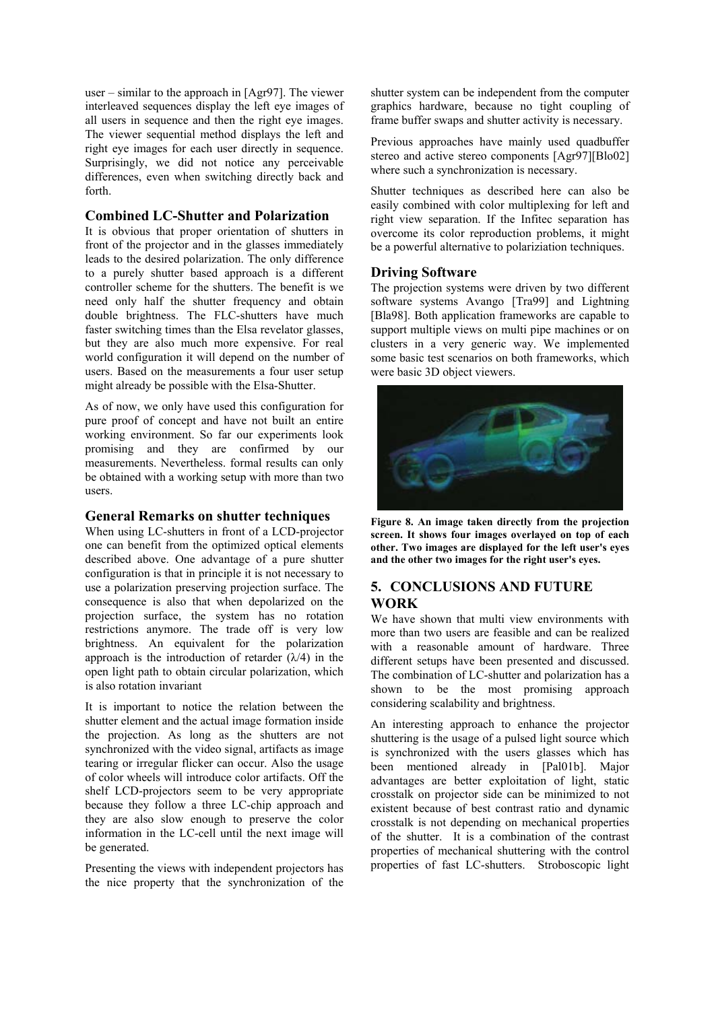user – similar to the approach in [Agr97]. The viewer interleaved sequences display the left eye images of all users in sequence and then the right eye images. The viewer sequential method displays the left and right eye images for each user directly in sequence. Surprisingly, we did not notice any perceivable differences, even when switching directly back and forth.

## **Combined LC-Shutter and Polarization**

It is obvious that proper orientation of shutters in front of the projector and in the glasses immediately leads to the desired polarization. The only difference to a purely shutter based approach is a different controller scheme for the shutters. The benefit is we need only half the shutter frequency and obtain double brightness. The FLC-shutters have much faster switching times than the Elsa revelator glasses, but they are also much more expensive. For real world configuration it will depend on the number of users. Based on the measurements a four user setup might already be possible with the Elsa-Shutter.

As of now, we only have used this configuration for pure proof of concept and have not built an entire working environment. So far our experiments look promising and they are confirmed by our measurements. Nevertheless. formal results can only be obtained with a working setup with more than two users.

## **General Remarks on shutter techniques**

When using LC-shutters in front of a LCD-projector one can benefit from the optimized optical elements described above. One advantage of a pure shutter configuration is that in principle it is not necessary to use a polarization preserving projection surface. The consequence is also that when depolarized on the projection surface, the system has no rotation restrictions anymore. The trade off is very low brightness. An equivalent for the polarization approach is the introduction of retarder  $(\lambda/4)$  in the open light path to obtain circular polarization, which is also rotation invariant

It is important to notice the relation between the shutter element and the actual image formation inside the projection. As long as the shutters are not synchronized with the video signal, artifacts as image tearing or irregular flicker can occur. Also the usage of color wheels will introduce color artifacts. Off the shelf LCD-projectors seem to be very appropriate because they follow a three LC-chip approach and they are also slow enough to preserve the color information in the LC-cell until the next image will be generated.

Presenting the views with independent projectors has the nice property that the synchronization of the

shutter system can be independent from the computer graphics hardware, because no tight coupling of frame buffer swaps and shutter activity is necessary.

Previous approaches have mainly used quadbuffer stereo and active stereo components [Agr97][Blo02] where such a synchronization is necessary.

Shutter techniques as described here can also be easily combined with color multiplexing for left and right view separation. If the Infitec separation has overcome its color reproduction problems, it might be a powerful alternative to polariziation techniques.

## **Driving Software**

The projection systems were driven by two different software systems Avango [Tra99] and Lightning [Bla98]. Both application frameworks are capable to support multiple views on multi pipe machines or on clusters in a very generic way. We implemented some basic test scenarios on both frameworks, which were basic 3D object viewers.



**Figure 8. An image taken directly from the projection screen. It shows four images overlayed on top of each other. Two images are displayed for the left user's eyes and the other two images for the right user's eyes.**

# **5. CONCLUSIONS AND FUTURE WORK**

We have shown that multi view environments with more than two users are feasible and can be realized with a reasonable amount of hardware. Three different setups have been presented and discussed. The combination of LC-shutter and polarization has a shown to be the most promising approach considering scalability and brightness.

An interesting approach to enhance the projector shuttering is the usage of a pulsed light source which is synchronized with the users glasses which has been mentioned already in [Pal01b]. Major advantages are better exploitation of light, static crosstalk on projector side can be minimized to not existent because of best contrast ratio and dynamic crosstalk is not depending on mechanical properties of the shutter. It is a combination of the contrast properties of mechanical shuttering with the control properties of fast LC-shutters. Stroboscopic light